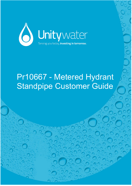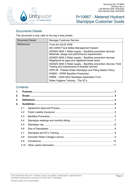

### Documents Details

This document is only valid on the day it was printed.

| Document Owner    | <b>Manager Customer Service</b>                                                                                |
|-------------------|----------------------------------------------------------------------------------------------------------------|
| <b>References</b> | Food Act (QLD) 2006                                                                                            |
|                   | ISO 22000 Food Safety Management System                                                                        |
|                   | AS/NZS 2845.1 Water supply - Backflow prevention devices:<br>Materials, design and performance requirements    |
|                   | AS/NZS 2845.2 Water supply - Backflow prevention devices:<br>Registered air gaps and registered break tanks    |
|                   | AS/NZS 2845.3 Water supply - Backflow prevention devices: Field<br>Testing and maintenance of testable devices |
|                   | OP8138 - Potable Water Standpipe and Filling Station Policy                                                    |
|                   | Pr9820 - OPRP Backflow Prevention                                                                              |
|                   | F8668 - 2020-2022 Standpipe Application Form                                                                   |
|                   | Water Hygiene Training - The 5C's                                                                              |

#### **Contents**

| 1. |      |  |  |
|----|------|--|--|
| 2. |      |  |  |
| 3. |      |  |  |
| 4. |      |  |  |
|    | 4.1  |  |  |
|    | 4.2  |  |  |
|    | 4.3  |  |  |
|    | 4.4  |  |  |
|    | 4.5  |  |  |
|    | 4.6  |  |  |
|    | 4.7  |  |  |
|    | 4.8  |  |  |
|    | 4.9  |  |  |
|    | 4.10 |  |  |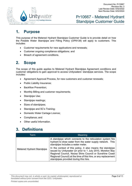

### <span id="page-2-0"></span>**1. Purpose**

This purpose of the Metered Hydrant Standpipe Customer Guide is to provide detail on how the Potable Water Standpipe and Filling Policy (OP8138) will apply to customers. This includes:

- Customer requirements for new applications and renewals;
- Customer ongoing compliance obligations; and
- Breach of agreement conditions.

### <span id="page-2-1"></span>**2. Scope**

The scope of this guide applies to Metered Hydrant Standpipe Agreement conditions and customer obligations to gain approval to access Unitywaters' standpipe services. The scope includes:

- Agreement Approval Process, for new customers and customer renewals;
- Public Liability Insurance;
- Backflow Prevention;
- Monthly Billing and customer requirements;
- Standpipe Use;
- Standpipe readings;
- Sizes of standpipes;
- Standpipe and 5C's Training;
- Domestic Water Cartage Licence;
- Compliance; and
- Other useful information.

### <span id="page-2-2"></span>**3. Definitions**

| Term                      | Meaning                                                                                                                                                                                                                                                                                        |
|---------------------------|------------------------------------------------------------------------------------------------------------------------------------------------------------------------------------------------------------------------------------------------------------------------------------------------|
|                           | A standpipe which connects to the reticulation system fire<br>hydrant to draw water from the water supply network. This<br>standpipe includes a water meter.                                                                                                                                   |
| Metered Hydrant Standpipe | In the context of this policy, it also means the standpipe<br>issued by Unitywater (or prior to 1 July 2010, Moreton Bay<br>Regional Council, Noosa Shire Council or Sunshine Coast<br>Regional Council) at the time of this hire, or any replacement<br>standpipes provided during this hire. |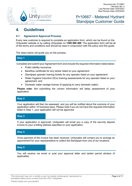

### <span id="page-3-0"></span>**4. Guidelines**

#### <span id="page-3-1"></span>**4.1 Agreement Approval Process**

Every new customer is required to complete an application form, which can be found on the Unitywater website or by calling Unitywater on **1300 086 489**. The application form will list all of the terms and conditions and should be read in conjunction with the policy and this guide.

The steps below will guide you on the process.

#### **Step 1**

Complete and submit your Agreement form and include the required information listed below:

- Public liability insurance;
- Backflow certificate for any tanker listed on your agreement;
- Standpipe operator training tickets for any operator listed on your agreement;
- Water Hygiene Induction (5Cs) training assessments for any operator listed on your agreement; and
- Domestic water cartage license (if applying to carry domestic water).

**Please note:** Not submitting the correct information will delay assessment of your application.

#### **Step 2**

Your application will then be assessed, and you will be notified about the outcome of your application within 10 business days. Please note if you do not have the required information listed in Step 1, your application will not be approved.

#### **Step 3**

If your application is approved, Unitywater will email you a copy of the security deposit invoice to your e-billing address specified on your application.

#### **Step 4**

Once payment of the invoice has been received, Unitywater will contact you to arrange an appointment for your representative to collect the Standpipe from one of our locations.

#### **Step 5**

You will receive via email or post your approval letter and tanker permit stickers (if applicable).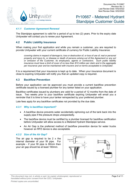

#### *4.1.1 Customer Agreement Renewal*

The Standpipe agreement is valid for a period of up to two (2) years. Prior to the expiry date Unitywater will contact you to renew your Agreement.

#### <span id="page-4-0"></span>**4.2 Public Liability Insurance**

When making your first application and while you remain a customer, you are required to provide Unitywater with your current certificate of currency for Public Liability Insurance:

*covering claims in respect of damage to, loss or destruction of, or loss of use of, real or personal property and injury to, or disease or death of persons arising out of this Agreement or any act or omission of the Customer, its employees, agents or contractors. Such public liability insurance must have a limit of cover of no less than \$10 million per claim and in the aggregate per insurance year and be maintained with insurers and on terms acceptable to Unitywater.*

It is a requirement that your insurance is kept up to date. When your insurance document is close to expiring Unitywater will notify you that an updated copy is required.

#### <span id="page-4-1"></span>**4.3 Backflow Prevention**

Before your application can be approved you must provide a current backflow prevention certificate issued by a licensed plumber for any tanker listed on your application.

Backflow certificates issued by plumbers are valid for a period of 12 months from the date of issue. Two weeks prior to your backflow certificate expiring Unitywater will email you a reminder that it is time to have your tanker reinspected by your preferred plumber.

Late fees apply for any backflow certificates not provided by the due date.

#### *4.3.1 Why is backflow important?*

- A backflow device prevents water accidentally siphoning out of the tank back into the supply pipe if the pressure drops unexpectedly.
- The backflow device must be certified by a plumber licensed for backflow certification before Unitywater will allow access to a Metered Hydrant Standpipe service.
- An Air Gap is the preferred method of backflow prevention device for water trucks however an RPZ device is also acceptable.

#### *4.3.2 Size of the Air Gap?*

The air gap is required to be 2 x the internal diameter of your fill pipe. For example - if your fill pipe is 80mm then your air gap should be at least 160mm.

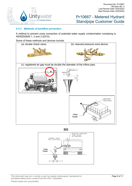

#### *4.3.3 Methods of backflow prevention*

A method to prevent cross connection of potential water supply contamination complying to AS/NZS2845.1, 2 and 3 (2010).

Some of these methods and devices include:







*This document may not, in whole or part, be copied, photocopied, reproduced or translated without prior consent from the CEO, Unitywater. Printed copies are uncontrolled.*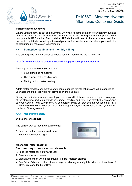



#### **Portable backflow device**

Where you are carrying out an activity that Unitywater deems as a risk to our network such as high flow standpipe use for dewatering or landscaping we will require that you provide your own portable RPZ device. This portable RPZ device will need to have a current backflow prevention certificate issued by a licensed plumber. Unitywater may also attend your work site to determine if it meets our requirements.

#### <span id="page-6-0"></span>**4.4 Standpipe readings and monthly billing**

You are required to submit your standpipe reading monthly via the following link:

<https://www.cognitoforms.com/UnityWater/StandpipeReadingSubmissionForm>

To complete the webform you will need:

- Your standpipe number/s;
- The current meter reading; and
- Photograph of meter reading.

A late meter read fee per month/per standpipe applies for late returns and will be applied to your account if the reading is not provided by the due date.

During the period of your agreement, you are required to take and submit a digital photograph of the standpipe (including standpipe number, reading and date) and attach the photograph to your Cognito form submission. A photograph must be provided as requested or at a minimum within the last week of March, June, September, and December, in each year during the term of the agreement.

#### *4.4.1 Reading the meter*

#### **Digital meter reading:**

The correct way to read a digital meter is:

- 1. Face the meter casing towards you
- 2. Read numbers left to right.

#### **Mechanical meter reading:**

The correct way to read a mechanical meter is:

- 1. Face the meter casing towards you
- 2. Read numbers clockwise
- 3. Black numbers on white background (5 digits) register kilolitres
- 4. Four "clock" dials at bottom of meter, register starting from right, hundreds of litres, tens of litres, litres and tenths of litres.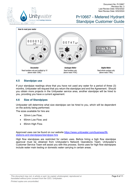



#### <span id="page-7-0"></span>**4.5 Standpipe use**

If your standpipe readings show that you have not used any water for a period of three (3) months, Unitywater will request that you return the standpipe and end the Agreement. Should you obtain more projects in the Unitywater service area, another standpipe will be hired to you, providing you have a current agreement.

#### <span id="page-7-1"></span>**4.6 Size of Standpipes**

Unitywater will determine what size standpipe can be hired to you, which will be dependent on the activity being performed.

The sizes available for hire are:

- 32mm Low Flow:
- 65mm Low Flow; and
- 65mm High Flow.

Approved uses can be found on our website [https://www.unitywater.com/business/fill](https://www.unitywater.com/business/fill-stations-and-standpipes/standpipe-hire)[stations-and-standpipes/standpipe-hire](https://www.unitywater.com/business/fill-stations-and-standpipes/standpipe-hire)

High flow standpipes are restricted for certain uses. Before hiring a high flow standpipe approval must be obtained from Unitywater's Network Operations Team. Unitywater's Customer Service Team will assist you with this process. Some uses for high flow standpipes include water main testing or domestic water carrying in certain areas.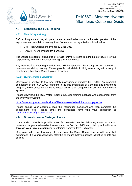

#### <span id="page-8-0"></span>**4.7 Standpipe and 5C's Training**

#### *4.7.1 Mandatory training*

Before hiring a standpipe, all operators are required to be trained in the safe operation of the equipment and to obtain a training ticket from one of the organisations listed below.

- Civil Train Queensland Phone: **07 3360 7933**
- PACCT Pty Ltd Phone: **0419 646 369**

The Standpipe operator training ticket is valid for five (5) years from the date of issue. It is your responsibility to ensure that your training is kept up to date.

Any new staff to your organisation who will be operating the standpipe are required to complete mandatory training. Please provide their details to Unitywater along with a copy of their training ticket and Water Hygiene Induction.

#### *4.7.2 Water Hygiene Induction*

Unitywater is certified to the food safety management standard ISO 22000. An important component of the ISO 22000 standard is the implementation of a training and awareness program, which educates standpipe customers on their obligations under the management system.

Please download the 5C's Water Hygiene Induction training package and assessment from the Unitywater website:

<https://www.unitywater.com/business/fill-stations-and-standpipes/standpipe-hire>

Please ensure your operators read the information document and then complete the assessment form. Please email the completed form with your application to [retail.compliance@unitywater.com.](mailto:retail.compliance@unitywater.com?subject=Water%20Hygiene%20Induction)

#### <span id="page-8-1"></span>**4.8 Domestic Water Cartage Licence**

If you wish to distribute potable water for domestic use i.e. delivering water for human consumption, you must also be licensed under the *[Food Act 2006](http://www.legislation.qld.gov.au/LEGISLTN/CURRENT/f/fooda06.pdf)* and obtain your food license **through your local council** prior to obtaining approval from Unitywater.

Unitywater will request a copy of your Domestic Water Carrier license with your first agreement. It is your responsibility after this to ensure that your license is kept up to date and current.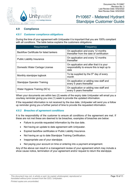

#### <span id="page-9-0"></span>**4.9 Compliance**

#### *4.9.1 Customer compliance obligations*

During the time of your agreement with Unitywater it is important that you are 100% compliant with all conditions. The table below explains the customers obligations:

| Requirement                             | Frequency                                                                                       |
|-----------------------------------------|-------------------------------------------------------------------------------------------------|
| Backflow Certificate for listed tankers | On application and every 12 months<br>thereafter from the date of certification                 |
| <b>Public Liability Insurance</b>       | On application and every 12 months<br>thereafter                                                |
| Domestic Water Cartage License          | On application and after that it is your<br>responsibility to ensure this is kept up to<br>date |
| Monthly standpipe logbook               | To be supplied by the $5th$ day of every<br>month                                               |
| <b>Standpipe Operator Training</b>      | On application or adding new staff and<br>every 5 years thereafter                              |
| Water Hygiene Training (5C's)           | On application or adding new staff and<br>every 5 years thereafter                              |

When your documents are within two (2) weeks of the expiry date Unitywater will email you a courtesy reminder giving you one (1) week to provide the updated information.

If the requested information is not received by the due date, Unitywater will send you a follow up reminder giving you a further period of time to provide the requested information.

#### *4.9.2 Breaches of agreement conditions*

It is the responsibility of the customer to ensure all conditions of the agreement are met. If these are not met these are deemed to be breaches, examples of breaches are below:

- Failure to provide requested information by the due date.
- Not having an update to date agreement with Unitywater.
- Expired backflow certificates or Public Liability Insurance.
- Not having an up to date Standpipe Training Certification.
- Inappropriate use of your standpipe.
- Not paying your account on time or entering into a payment arrangement.

Any of the above can result in a management review of your agreement which may include a show cause notice, termination of your agreement and/or request to return the standpipe.